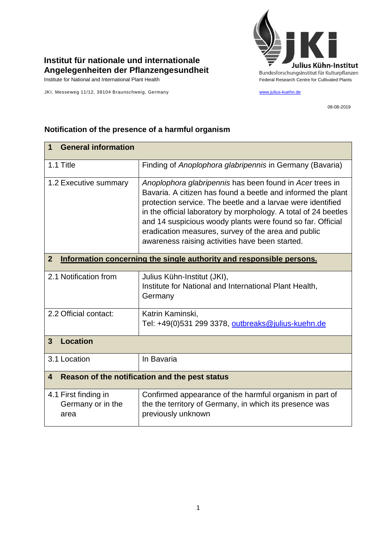

## **Institut für nationale und internationale Angelegenheiten der Pflanzengesundheit**

JKI, Messeweg 11/12, 38104 Braunschweig, Germany [www.julius-kuehn.de](http://www.julius-kuehn.de/)

08-08-2019

| <b>General information</b><br>1                                                        |                                                                                                                                                                                                                                                                                                                                                                                                                                    |  |
|----------------------------------------------------------------------------------------|------------------------------------------------------------------------------------------------------------------------------------------------------------------------------------------------------------------------------------------------------------------------------------------------------------------------------------------------------------------------------------------------------------------------------------|--|
| 1.1 Title                                                                              | Finding of Anoplophora glabripennis in Germany (Bavaria)                                                                                                                                                                                                                                                                                                                                                                           |  |
| 1.2 Executive summary                                                                  | Anoplophora glabripennis has been found in Acer trees in<br>Bavaria. A citizen has found a beetle and informed the plant<br>protection service. The beetle and a larvae were identified<br>in the official laboratory by morphology. A total of 24 beetles<br>and 14 suspicious woody plants were found so far. Official<br>eradication measures, survey of the area and public<br>awareness raising activities have been started. |  |
| Information concerning the single authority and responsible persons.<br>$\overline{2}$ |                                                                                                                                                                                                                                                                                                                                                                                                                                    |  |
| 2.1 Notification from                                                                  | Julius Kühn-Institut (JKI),<br>Institute for National and International Plant Health,<br>Germany                                                                                                                                                                                                                                                                                                                                   |  |
| 2.2 Official contact:                                                                  | Katrin Kaminski,<br>Tel: +49(0)531 299 3378, outbreaks@julius-kuehn.de                                                                                                                                                                                                                                                                                                                                                             |  |
| <b>Location</b><br>3                                                                   |                                                                                                                                                                                                                                                                                                                                                                                                                                    |  |
| 3.1 Location                                                                           | In Bavaria                                                                                                                                                                                                                                                                                                                                                                                                                         |  |
| Reason of the notification and the pest status<br>$\overline{\mathbf{4}}$              |                                                                                                                                                                                                                                                                                                                                                                                                                                    |  |
| 4.1 First finding in<br>Germany or in the<br>area                                      | Confirmed appearance of the harmful organism in part of<br>the the territory of Germany, in which its presence was<br>previously unknown                                                                                                                                                                                                                                                                                           |  |

## **Notification of the presence of a harmful organism**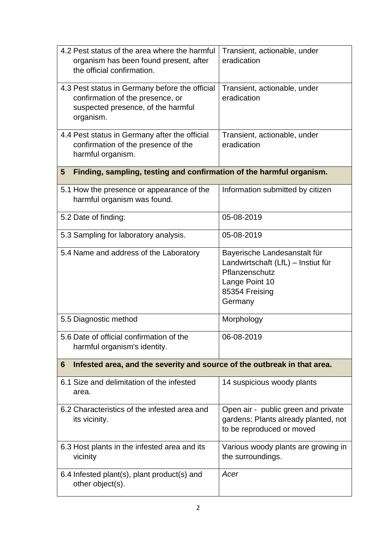| 4.2 Pest status of the area where the harmful<br>organism has been found present, after<br>the official confirmation.                 | Transient, actionable, under<br>eradication                                                                                         |  |  |
|---------------------------------------------------------------------------------------------------------------------------------------|-------------------------------------------------------------------------------------------------------------------------------------|--|--|
| 4.3 Pest status in Germany before the official<br>confirmation of the presence, or<br>suspected presence, of the harmful<br>organism. | Transient, actionable, under<br>eradication                                                                                         |  |  |
| 4.4 Pest status in Germany after the official<br>confirmation of the presence of the<br>harmful organism.                             | Transient, actionable, under<br>eradication                                                                                         |  |  |
| Finding, sampling, testing and confirmation of the harmful organism.<br>$5\phantom{.0}$                                               |                                                                                                                                     |  |  |
| 5.1 How the presence or appearance of the<br>harmful organism was found.                                                              | Information submitted by citizen                                                                                                    |  |  |
| 5.2 Date of finding:                                                                                                                  | 05-08-2019                                                                                                                          |  |  |
| 5.3 Sampling for laboratory analysis.                                                                                                 | 05-08-2019                                                                                                                          |  |  |
| 5.4 Name and address of the Laboratory                                                                                                | Bayerische Landesanstalt für<br>Landwirtschaft (LfL) - Instiut für<br>Pflanzenschutz<br>Lange Point 10<br>85354 Freising<br>Germany |  |  |
| 5.5 Diagnostic method                                                                                                                 | Morphology                                                                                                                          |  |  |
| 5.6 Date of official confirmation of the<br>harmful organism's identity.                                                              | 06-08-2019                                                                                                                          |  |  |
| Infested area, and the severity and source of the outbreak in that area.<br>6                                                         |                                                                                                                                     |  |  |
| 6.1 Size and delimitation of the infested<br>area.                                                                                    | 14 suspicious woody plants                                                                                                          |  |  |
| 6.2 Characteristics of the infested area and<br>its vicinity.                                                                         | Open air - public green and private<br>gardens: Plants already planted, not<br>to be reproduced or moved                            |  |  |
| 6.3 Host plants in the infested area and its<br>vicinity                                                                              | Various woody plants are growing in<br>the surroundings.                                                                            |  |  |
| 6.4 Infested plant(s), plant product(s) and<br>other object(s).                                                                       | Acer                                                                                                                                |  |  |